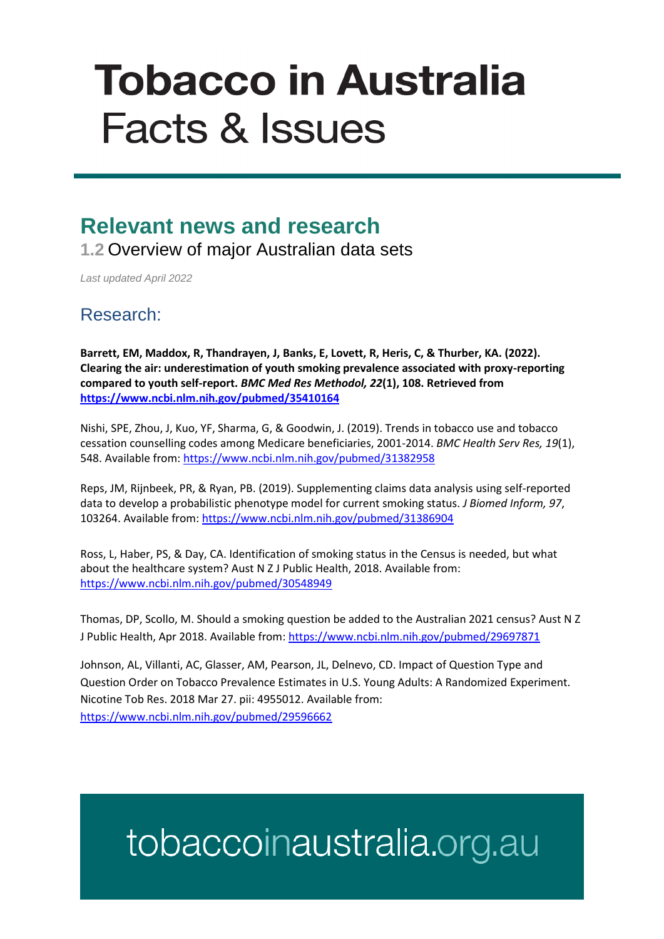# **Tobacco in Australia Facts & Issues**

### **Relevant news and research**

**1.2** Overview of major Australian data sets

*Last updated April 2022*

#### Research:

**Barrett, EM, Maddox, R, Thandrayen, J, Banks, E, Lovett, R, Heris, C, & Thurber, KA. (2022). Clearing the air: underestimation of youth smoking prevalence associated with proxy-reporting compared to youth self-report.** *BMC Med Res Methodol, 22***(1), 108. Retrieved from <https://www.ncbi.nlm.nih.gov/pubmed/35410164>**

Nishi, SPE, Zhou, J, Kuo, YF, Sharma, G, & Goodwin, J. (2019). Trends in tobacco use and tobacco cessation counselling codes among Medicare beneficiaries, 2001-2014. *BMC Health Serv Res, 19*(1), 548. Available from:<https://www.ncbi.nlm.nih.gov/pubmed/31382958>

Reps, JM, Rijnbeek, PR, & Ryan, PB. (2019). Supplementing claims data analysis using self-reported data to develop a probabilistic phenotype model for current smoking status. *J Biomed Inform, 97*, 103264. Available from:<https://www.ncbi.nlm.nih.gov/pubmed/31386904>

Ross, L, Haber, PS, & Day, CA. Identification of smoking status in the Census is needed, but what about the healthcare system? Aust N Z J Public Health, 2018. Available from: <https://www.ncbi.nlm.nih.gov/pubmed/30548949>

Thomas, DP, Scollo, M. Should a smoking question be added to the Australian 2021 census? Aust N Z J Public Health, Apr 2018. Available from[: https://www.ncbi.nlm.nih.gov/pubmed/29697871](https://www.ncbi.nlm.nih.gov/pubmed/29697871)

Johnson, AL, Villanti, AC, Glasser, AM, Pearson, JL, Delnevo, CD. Impact of Question Type and Question Order on Tobacco Prevalence Estimates in U.S. Young Adults: A Randomized Experiment. Nicotine Tob Res. 2018 Mar 27. pii: 4955012. Available from: <https://www.ncbi.nlm.nih.gov/pubmed/29596662>

## tobaccoinaustralia.org.au